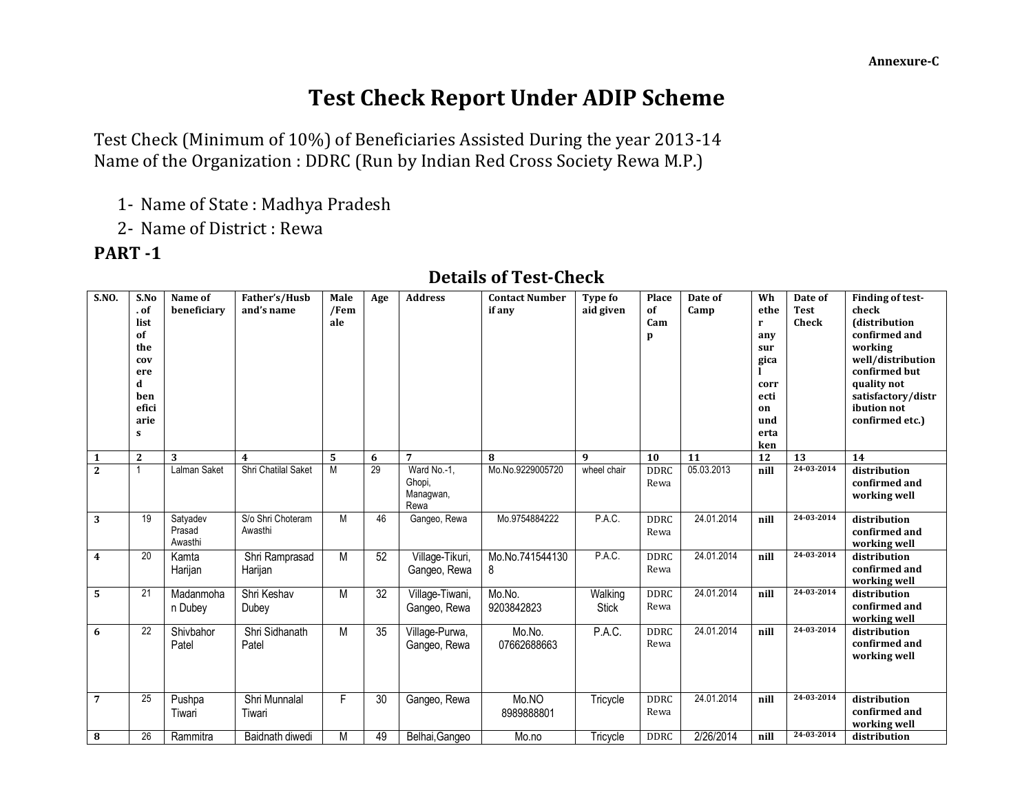**Finding of test-**

## **Test Check Report Under ADIP Scheme**

Test Check (Minimum of 10%) of Beneficiaries Assisted During the year 2013-14 Name of the Organization : DDRC (Run by Indian Red Cross Society Rewa M.P.)

1- Name of State : Madhya Pradesh

**Father's/Husb**

**Male**

2- Name of District : Rewa

**Name of** 

## **PART -1**

**S.NO. S.No**

## **. of list of the cov ere d ben efici arie s beneficiary and's name /Fem ale if any aid given of Cam p Camp ethe r any sur gica l corr ecti on und erta ken Test Check check (distribution confirmed and working well/distribution confirmed but quality not satisfactory/distr ibution not confirmed etc.) 1 2 3 4 5 6 7 8 9 10 11 12 13 14** 2 1 Lalman Saket Shri Chatilal Saket M 29 Ward No.-1, Ghopi, Managwan, Rewa Mo.No.9229005720 wheel chair DDRC Rewa 05.03.2013 **nill 24-03-2014 distribution confirmed and working well 3** 19 Satyadev Prasad Awasthi S/o Shri Choteram Awasthi M | 46 | Gangeo, Rewa | Mo.9754884222 | P.A.C. | DDRC Rewa 24.01.2014 **nill 24-03-2014 distribution confirmed and working well 4** 20 Kamta Harijan Shri Ramprasad Harijan M 52 Village-Tikuri, Gangeo, Rewa Mo.No.741544130 8 P.A.C. DDRC Rewa 24.01.2014 **nill 24-03-2014 distribution confirmed and working well 5** 21 Madanmoha n Dubey Shri Keshav Dubey M 32 Village-Tiwani, Gangeo, Rewa Mo.No. 9203842823 **Walking Stick** DDRC Rewa 24.01.2014 **nill 24-03-2014 distribution confirmed and working well 6** 22 Shivbahor Patel Shri Sidhanath Patel M 35 Village-Purwa, Gangeo, Rewa Mo.No. 07662688663 P.A.C. DDRC Rewa 24.01.2014 **nill 24-03-2014 distribution confirmed and working well 7** 25 Pushpa Tiwari Shri Munnalal Tiwari F 30 Gangeo, Rewa Mo.NO 8989888801 Tricycle DDRC Rewa 24.01.2014 **nill 24-03-2014 distribution confirmed and working well 8** 26 Rammitra | Baidnath diwedi | M | 49 | Belhai,Gangeo | Mo.no | Tricycle | DDRC | 2/26/2014 | nill | <sup>24-03-2014</sup> | distribution

## **Details of Test-Check**

**Type fo** 

**Place** 

**Date of** 

**Wh**

**Date of** 

**Age Address Contact Number**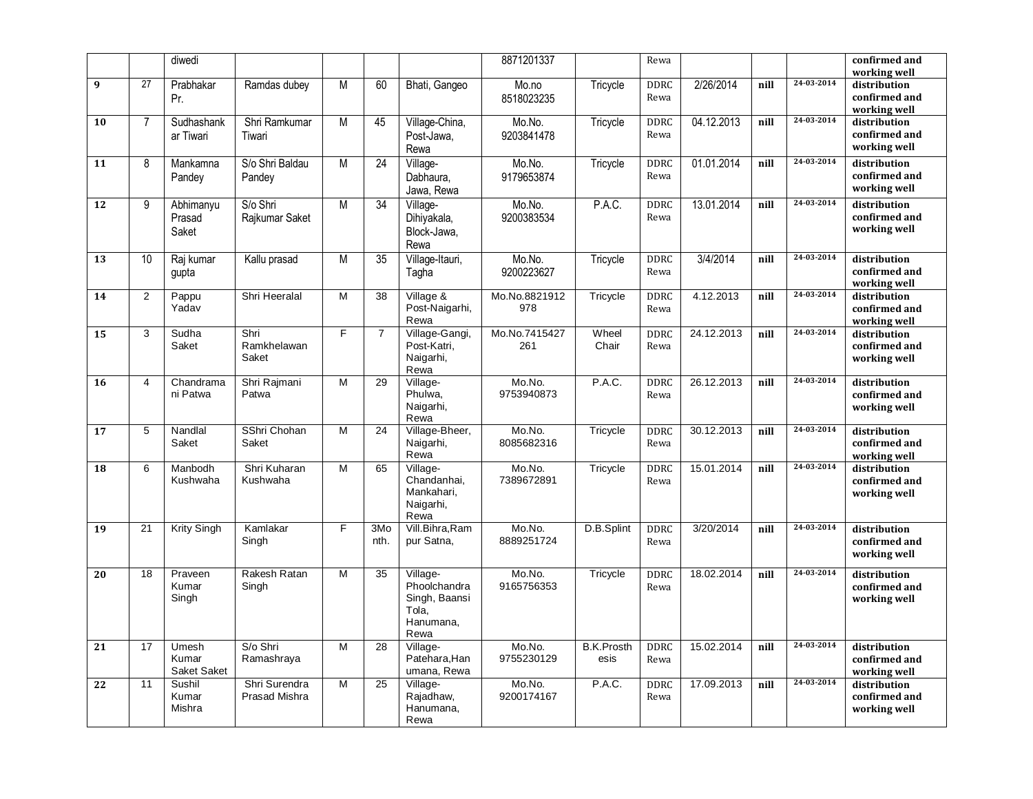|    |                | diwedi                        |                                       |                |                 |                                                                         | 8871201337           |                           | Rewa                |            |      |            | confirmed and<br>working well                 |
|----|----------------|-------------------------------|---------------------------------------|----------------|-----------------|-------------------------------------------------------------------------|----------------------|---------------------------|---------------------|------------|------|------------|-----------------------------------------------|
| 9  | 27             | Prabhakar<br>Pr.              | Ramdas dubey                          | M              | 60              | Bhati, Gangeo                                                           | Mo.no<br>8518023235  | Tricycle                  | <b>DDRC</b><br>Rewa | 2/26/2014  | nill | 24-03-2014 | distribution<br>confirmed and<br>working well |
| 10 | $\overline{7}$ | Sudhashank<br>ar Tiwari       | Shri Ramkumar<br>Tiwari               | M              | 45              | Village-China,<br>Post-Jawa.<br>Rewa                                    | Mo.No.<br>9203841478 | Tricycle                  | <b>DDRC</b><br>Rewa | 04.12.2013 | nill | 24-03-2014 | distribution<br>confirmed and<br>working well |
| 11 | 8              | Mankamna<br>Pandey            | S/o Shri Baldau<br>Pandey             | M              | 24              | Village-<br>Dabhaura.<br>Jawa, Rewa                                     | Mo.No.<br>9179653874 | Tricycle                  | <b>DDRC</b><br>Rewa | 01.01.2014 | nill | 24-03-2014 | distribution<br>confirmed and<br>working well |
| 12 | 9              | Abhimanyu<br>Prasad<br>Saket  | S/o Shri<br>Rajkumar Saket            | M              | $\overline{34}$ | Village-<br>Dihiyakala,<br>Block-Jawa,<br>Rewa                          | Mo.No.<br>9200383534 | P.A.C.                    | <b>DDRC</b><br>Rewa | 13.01.2014 | nill | 24-03-2014 | distribution<br>confirmed and<br>working well |
| 13 | 10             | Raj kumar<br>gupta            | Kallu prasad                          | M              | 35              | Village-Itauri,<br>Tagha                                                | Mo.No.<br>9200223627 | Tricycle                  | <b>DDRC</b><br>Rewa | 3/4/2014   | nill | 24-03-2014 | distribution<br>confirmed and<br>working well |
| 14 | $\overline{2}$ | Pappu<br>Yadav                | Shri Heeralal                         | M              | 38              | Village &<br>Post-Naigarhi,<br>Rewa                                     | Mo.No.8821912<br>978 | Tricycle                  | <b>DDRC</b><br>Rewa | 4.12.2013  | nill | 24-03-2014 | distribution<br>confirmed and<br>working well |
| 15 | 3              | Sudha<br>Saket                | Shri<br>Ramkhelawan<br>Saket          | F              | $\overline{7}$  | Village-Gangi,<br>Post-Katri,<br>Naigarhi,<br>Rewa                      | Mo.No.7415427<br>261 | Wheel<br>Chair            | <b>DDRC</b><br>Rewa | 24.12.2013 | nill | 24-03-2014 | distribution<br>confirmed and<br>working well |
| 16 | $\overline{4}$ | Chandrama<br>ni Patwa         | Shri Rajmani<br>Patwa                 | M              | 29              | Village-<br>Phulwa,<br>Naigarhi,<br>Rewa                                | Mo.No.<br>9753940873 | P.A.C.                    | <b>DDRC</b><br>Rewa | 26.12.2013 | nill | 24-03-2014 | distribution<br>confirmed and<br>working well |
| 17 | 5              | Nandlal<br>Saket              | SShri Chohan<br>Saket                 | $\overline{M}$ | $\overline{24}$ | Village-Bheer,<br>Naigarhi,<br>Rewa                                     | Mo.No.<br>8085682316 | Tricycle                  | <b>DDRC</b><br>Rewa | 30.12.2013 | nill | 24-03-2014 | distribution<br>confirmed and<br>working well |
| 18 | 6              | Manbodh<br>Kushwaha           | Shri Kuharan<br>Kushwaha              | M              | 65              | Village-<br>Chandanhai,<br>Mankahari,<br>Naigarhi,<br>Rewa              | Mo.No.<br>7389672891 | Tricycle                  | DDRC<br>Rewa        | 15.01.2014 | nill | 24-03-2014 | distribution<br>confirmed and<br>working well |
| 19 | 21             | <b>Krity Singh</b>            | Kamlakar<br>Singh                     | F              | 3Mo<br>nth.     | Vill.Bihra, Ram<br>pur Satna,                                           | Mo.No.<br>8889251724 | D.B.Splint                | <b>DDRC</b><br>Rewa | 3/20/2014  | nill | 24-03-2014 | distribution<br>confirmed and<br>working well |
| 20 | 18             | Praveen<br>Kumar<br>Singh     | Rakesh Ratan<br>Singh                 | M              | 35              | Village-<br>Phoolchandra<br>Singh, Baansi<br>Tola,<br>Hanumana,<br>Rewa | Mo.No.<br>9165756353 | Tricycle                  | <b>DDRC</b><br>Rewa | 18.02.2014 | nill | 24-03-2014 | distribution<br>confirmed and<br>working well |
| 21 | 17             | Umesh<br>Kumar<br>Saket Saket | S/o Shri<br>Ramashraya                | M              | 28              | Village-<br>Patehara, Han<br>umana, Rewa                                | Mo.No.<br>9755230129 | <b>B.K.Prosth</b><br>esis | <b>DDRC</b><br>Rewa | 15.02.2014 | nill | 24-03-2014 | distribution<br>confirmed and<br>working well |
| 22 | 11             | Sushil<br>Kumar<br>Mishra     | Shri Surendra<br><b>Prasad Mishra</b> | M              | 25              | Village-<br>Rajadhaw,<br>Hanumana.<br>Rewa                              | Mo.No.<br>9200174167 | P.A.C.                    | <b>DDRC</b><br>Rewa | 17.09.2013 | nill | 24-03-2014 | distribution<br>confirmed and<br>working well |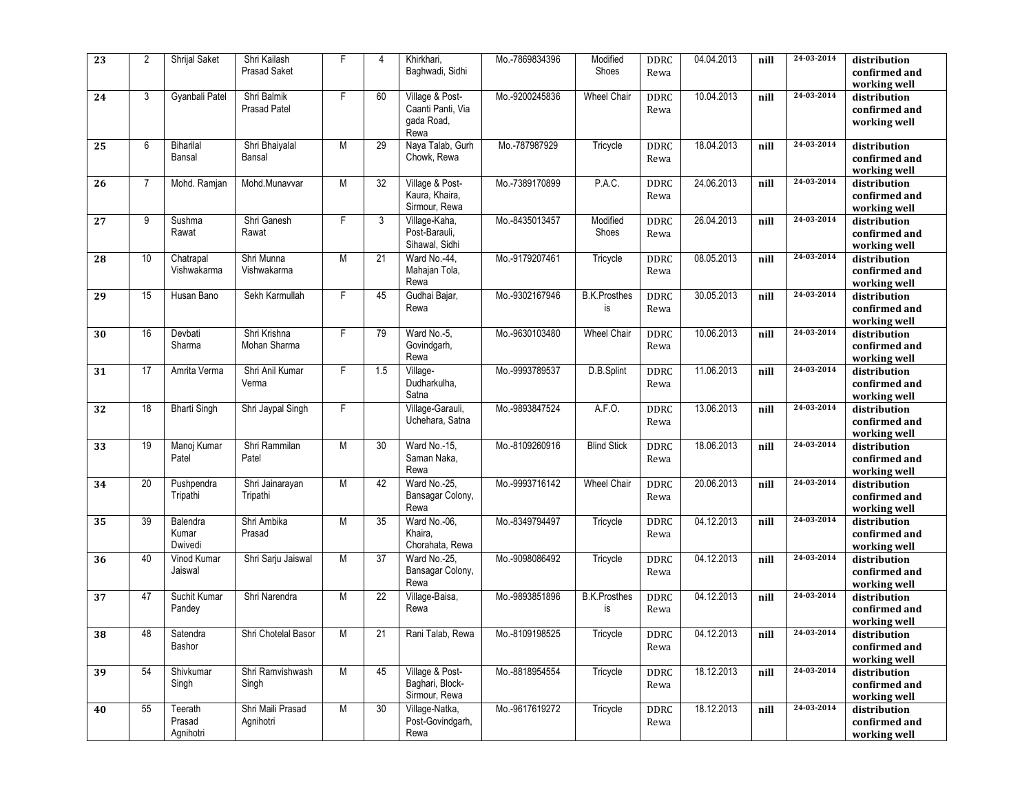| 23 | 2  | Shrijal Saket                  | Shri Kailash<br><b>Prasad Saket</b> | F              | 4   | Khirkhari,<br>Baghwadi, Sidhi                              | Mo.-7869834396 | Modified<br>Shoes         | <b>DDRC</b><br>Rewa | 04.04.2013 | nill | 24-03-2014       | distribution<br>confirmed and<br>working well |
|----|----|--------------------------------|-------------------------------------|----------------|-----|------------------------------------------------------------|----------------|---------------------------|---------------------|------------|------|------------------|-----------------------------------------------|
| 24 | 3  | Gyanbali Patel                 | Shri Balmik<br><b>Prasad Patel</b>  | $\overline{F}$ | 60  | Village & Post-<br>Caanti Panti, Via<br>gada Road,<br>Rewa | Mo.-9200245836 | <b>Wheel Chair</b>        | <b>DDRC</b><br>Rewa | 10.04.2013 | nill | 24-03-2014       | distribution<br>confirmed and<br>working well |
| 25 | 6  | Biharilal<br>Bansal            | Shri Bhaiyalal<br>Bansal            | M              | 29  | Naya Talab, Gurh<br>Chowk, Rewa                            | Mo.-787987929  | Tricycle                  | DDRC<br>Rewa        | 18.04.2013 | nill | 24-03-2014       | distribution<br>confirmed and<br>working well |
| 26 | 7  | Mohd. Ramjan                   | Mohd.Munavvar                       | M              | 32  | Village & Post-<br>Kaura, Khaira,<br>Sirmour, Rewa         | Mo.-7389170899 | P.A.C.                    | <b>DDRC</b><br>Rewa | 24.06.2013 | nill | 24-03-2014       | distribution<br>confirmed and<br>working well |
| 27 | 9  | Sushma<br>Rawat                | Shri Ganesh<br>Rawat                | F              | 3   | Village-Kaha,<br>Post-Barauli.<br>Sihawal, Sidhi           | Mo.-8435013457 | Modified<br>Shoes         | <b>DDRC</b><br>Rewa | 26.04.2013 | nill | 24-03-2014       | distribution<br>confirmed and<br>working well |
| 28 | 10 | Chatrapal<br>Vishwakarma       | Shri Munna<br>Vishwakarma           | M              | 21  | Ward No.-44,<br>Mahajan Tola,<br>Rewa                      | Mo.-9179207461 | Tricycle                  | DDRC<br>Rewa        | 08.05.2013 | nill | 24-03-2014       | distribution<br>confirmed and<br>working well |
| 29 | 15 | Husan Bano                     | Sekh Karmullah                      | E              | 45  | Gudhai Bajar,<br>Rewa                                      | Mo.-9302167946 | <b>B.K.Prosthes</b><br>is | <b>DDRC</b><br>Rewa | 30.05.2013 | nill | $24 - 03 - 2014$ | distribution<br>confirmed and<br>working well |
| 30 | 16 | Devbati<br>Sharma              | Shri Krishna<br>Mohan Sharma        | F              | 79  | Ward No.-5,<br>Govindgarh,<br>Rewa                         | Mo.-9630103480 | <b>Wheel Chair</b>        | <b>DDRC</b><br>Rewa | 10.06.2013 | nill | 24-03-2014       | distribution<br>confirmed and<br>working well |
| 31 | 17 | Amrita Verma                   | Shri Anil Kumar<br>Verma            | $\overline{F}$ | 1.5 | Village-<br>Dudharkulha,<br>Satna                          | Mo.-9993789537 | D.B.Splint                | <b>DDRC</b><br>Rewa | 11.06.2013 | nill | 24-03-2014       | distribution<br>confirmed and<br>working well |
| 32 | 18 | <b>Bharti Singh</b>            | Shri Jaypal Singh                   | F              |     | Village-Garauli,<br>Uchehara, Satna                        | Mo.-9893847524 | A.F.O.                    | <b>DDRC</b><br>Rewa | 13.06.2013 | nill | 24-03-2014       | distribution<br>confirmed and<br>working well |
| 33 | 19 | Manoj Kumar<br>Patel           | Shri Rammilan<br>Patel              | M              | 30  | Ward No.-15,<br>Saman Naka,<br>Rewa                        | Mo.-8109260916 | <b>Blind Stick</b>        | <b>DDRC</b><br>Rewa | 18.06.2013 | nill | 24-03-2014       | distribution<br>confirmed and<br>working well |
| 34 | 20 | Pushpendra<br>Tripathi         | Shri Jainarayan<br>Tripathi         | M              | 42  | Ward No.-25,<br>Bansagar Colony,<br>Rewa                   | Mo.-9993716142 | <b>Wheel Chair</b>        | <b>DDRC</b><br>Rewa | 20.06.2013 | nill | 24-03-2014       | distribution<br>confirmed and<br>working well |
| 35 | 39 | Balendra<br>Kumar<br>Dwivedi   | Shri Ambika<br>Prasad               | M              | 35  | Ward No.-06,<br>Khaira,<br>Chorahata, Rewa                 | Mo.-8349794497 | Tricycle                  | <b>DDRC</b><br>Rewa | 04.12.2013 | nill | $24 - 03 - 2014$ | distribution<br>confirmed and<br>working well |
| 36 | 40 | Vinod Kumar<br>Jaiswal         | Shri Sarju Jaiswal                  | M              | 37  | Ward No.-25.<br>Bansagar Colony,<br>Rewa                   | Mo.-9098086492 | Tricycle                  | <b>DDRC</b><br>Rewa | 04.12.2013 | nill | 24-03-2014       | distribution<br>confirmed and<br>working well |
| 37 | 47 | Suchit Kumar<br>Pandey         | Shri Narendra                       | M              | 22  | Village-Baisa,<br>Rewa                                     | Mo.-9893851896 | <b>B.K.Prosthes</b><br>is | <b>DDRC</b><br>Rewa | 04.12.2013 | nill | 24-03-2014       | distribution<br>confirmed and<br>working well |
| 38 | 48 | Satendra<br>Bashor             | Shri Chotelal Basor                 | M              | 21  | Rani Talab, Rewa                                           | Mo.-8109198525 | Tricycle                  | DDRC<br>Rewa        | 04.12.2013 | nill | 24-03-2014       | distribution<br>confirmed and<br>working well |
| 39 | 54 | Shivkumar<br>Singh             | Shri Ramvishwash<br>Singh           | M              | 45  | Village & Post-<br>Baghari, Block-<br>Sirmour, Rewa        | Mo.-8818954554 | Tricycle                  | DDRC<br>Rewa        | 18.12.2013 | nill | 24-03-2014       | distribution<br>confirmed and<br>working well |
| 40 | 55 | Teerath<br>Prasad<br>Agnihotri | Shri Maili Prasad<br>Agnihotri      | M              | 30  | Village-Natka,<br>Post-Govindgarh,<br>Rewa                 | Mo.-9617619272 | Tricycle                  | <b>DDRC</b><br>Rewa | 18.12.2013 | nill | 24-03-2014       | distribution<br>confirmed and<br>working well |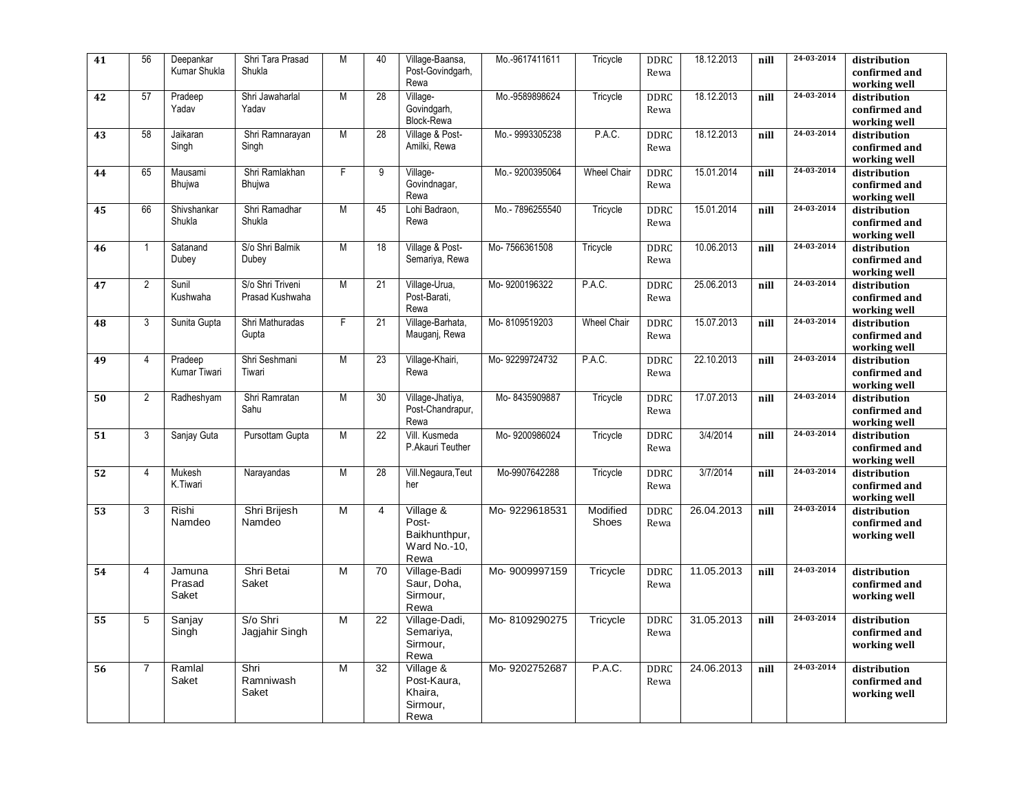| 41 | 56             | Deepankar<br>Kumar Shukla | Shri Tara Prasad<br>Shukla          | M              | 40              | Village-Baansa,<br>Post-Govindgarh,<br>Rewa                 | Mo.-9617411611  | Tricycle           | <b>DDRC</b><br>Rewa | 18.12.2013 | nill | 24-03-2014 | distribution<br>confirmed and<br>working well |
|----|----------------|---------------------------|-------------------------------------|----------------|-----------------|-------------------------------------------------------------|-----------------|--------------------|---------------------|------------|------|------------|-----------------------------------------------|
| 42 | 57             | Pradeep<br>Yadav          | Shri Jawaharlal<br>Yadav            | M              | 28              | Village-<br>Govindgarh,<br><b>Block-Rewa</b>                | Mo.-9589898624  | Tricycle           | <b>DDRC</b><br>Rewa | 18.12.2013 | nill | 24-03-2014 | distribution<br>confirmed and<br>working well |
| 43 | 58             | Jaikaran<br>Singh         | Shri Ramnarayan<br>Singh            | M              | 28              | Village & Post-<br>Amilki, Rewa                             | Mo.-9993305238  | P.A.C.             | <b>DDRC</b><br>Rewa | 18.12.2013 | nill | 24-03-2014 | distribution<br>confirmed and<br>working well |
| 44 | 65             | Mausami<br>Bhujwa         | Shri Ramlakhan<br>Bhujwa            | F              | 9               | Village-<br>Govindnagar,<br>Rewa                            | Mo.-9200395064  | <b>Wheel Chair</b> | DDRC<br>Rewa        | 15.01.2014 | nill | 24-03-2014 | distribution<br>confirmed and<br>working well |
| 45 | 66             | Shivshankar<br>Shukla     | Shri Ramadhar<br>Shukla             | M              | 45              | Lohi Badraon,<br>Rewa                                       | Mo.- 7896255540 | Tricycle           | <b>DDRC</b><br>Rewa | 15.01.2014 | nill | 24-03-2014 | distribution<br>confirmed and<br>working well |
| 46 | $\mathbf{1}$   | Satanand<br>Dubey         | S/o Shri Balmik<br>Dubey            | M              | 18              | Village & Post-<br>Semariya, Rewa                           | Mo-7566361508   | Tricycle           | <b>DDRC</b><br>Rewa | 10.06.2013 | nill | 24-03-2014 | distribution<br>confirmed and<br>working well |
| 47 | $\overline{2}$ | Sunil<br>Kushwaha         | S/o Shri Triveni<br>Prasad Kushwaha | M              | 21              | Village-Urua,<br>Post-Barati.<br>Rewa                       | Mo-9200196322   | P.A.C.             | <b>DDRC</b><br>Rewa | 25.06.2013 | nill | 24-03-2014 | distribution<br>confirmed and<br>working well |
| 48 | 3              | Sunita Gupta              | Shri Mathuradas<br>Gupta            | F              | 21              | Village-Barhata,<br>Mauganj, Rewa                           | Mo-8109519203   | <b>Wheel Chair</b> | <b>DDRC</b><br>Rewa | 15.07.2013 | nill | 24-03-2014 | distribution<br>confirmed and<br>working well |
| 49 | $\overline{4}$ | Pradeep<br>Kumar Tiwari   | Shri Seshmani<br>Tiwari             | $\overline{M}$ | 23              | Village-Khairi,<br>Rewa                                     | Mo-92299724732  | P.A.C.             | <b>DDRC</b><br>Rewa | 22.10.2013 | nill | 24-03-2014 | distribution<br>confirmed and<br>working well |
| 50 | 2              | Radheshyam                | Shri Ramratan<br>Sahu               | M              | 30              | Village-Jhatiya,<br>Post-Chandrapur,<br>Rewa                | Mo-8435909887   | Tricycle           | <b>DDRC</b><br>Rewa | 17.07.2013 | nill | 24-03-2014 | distribution<br>confirmed and<br>working well |
| 51 | 3              | Sanjay Guta               | Pursottam Gupta                     | M              | 22              | Vill. Kusmeda<br>P.Akauri Teuther                           | Mo-9200986024   | Tricycle           | <b>DDRC</b><br>Rewa | 3/4/2014   | nill | 24-03-2014 | distribution<br>confirmed and<br>working well |
| 52 | $\overline{4}$ | Mukesh<br>K.Tiwari        | Narayandas                          | $\overline{M}$ | $\overline{28}$ | Vill.Negaura, Teut<br>her                                   | Mo-9907642288   | Tricycle           | DDRC<br>Rewa        | 3/7/2014   | nill | 24-03-2014 | distribution<br>confirmed and<br>working well |
| 53 | 3              | Rishi<br>Namdeo           | Shri Brijesh<br>Namdeo              | M              | 4               | Village &<br>Post-<br>Baikhunthpur,<br>Ward No.-10,<br>Rewa | Mo-9229618531   | Modified<br>Shoes  | <b>DDRC</b><br>Rewa | 26.04.2013 | nill | 24-03-2014 | distribution<br>confirmed and<br>working well |
| 54 | $\overline{4}$ | Jamuna<br>Prasad<br>Saket | Shri Betai<br>Saket                 | M              | 70              | Village-Badi<br>Saur, Doha,<br>Sirmour,<br>Rewa             | Mo-9009997159   | Tricycle           | <b>DDRC</b><br>Rewa | 11.05.2013 | nill | 24-03-2014 | distribution<br>confirmed and<br>working well |
| 55 | 5              | Sanjay<br>Singh           | S/o Shri<br>Jaqjahir Singh          | M              | 22              | Village-Dadi,<br>Semariya,<br>Sirmour,<br>Rewa              | Mo-8109290275   | Tricycle           | <b>DDRC</b><br>Rewa | 31.05.2013 | nill | 24-03-2014 | distribution<br>confirmed and<br>working well |
| 56 | $\overline{7}$ | Ramlal<br>Saket           | Shri<br>Ramniwash<br>Saket          | M              | 32              | Village &<br>Post-Kaura,<br>Khaira,<br>Sirmour,<br>Rewa     | Mo-9202752687   | P.A.C.             | <b>DDRC</b><br>Rewa | 24.06.2013 | nill | 24-03-2014 | distribution<br>confirmed and<br>working well |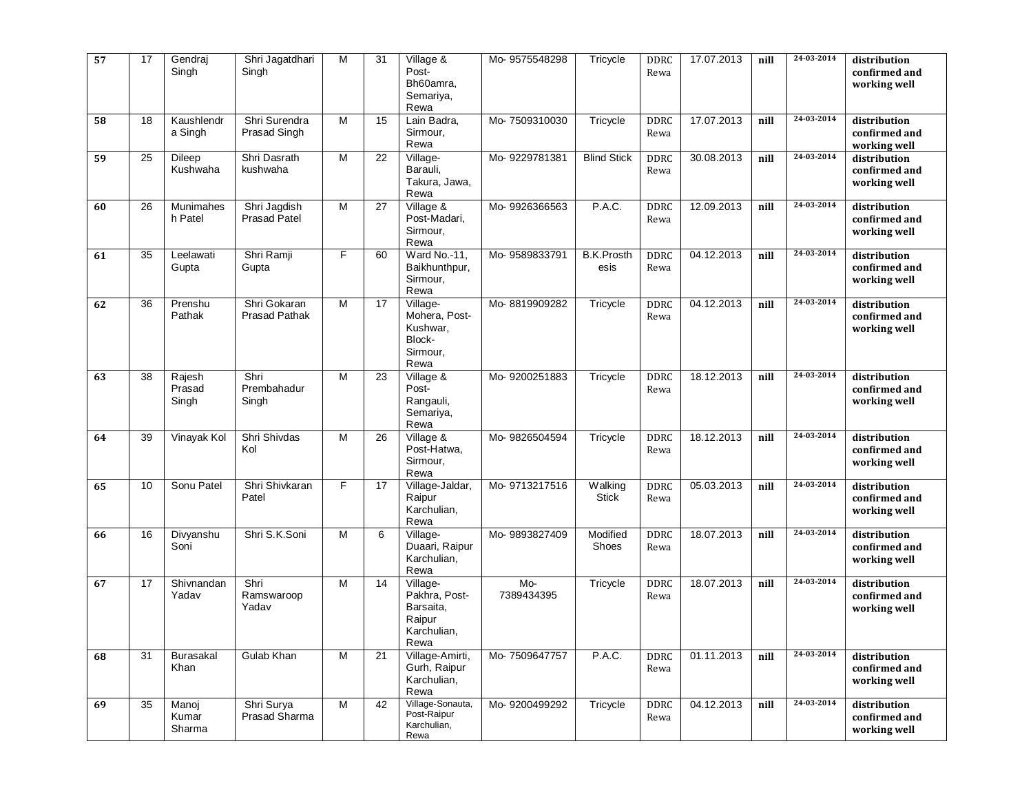| 57 | 17 | Gendraj<br>Singh            | Shri Jagatdhari<br>Singh            | M | 31 | Village &<br>Post-<br>Bh60amra,<br>Semariya,<br>Rewa                    | Mo-9575548298     | Tricycle                  | DDRC<br>Rewa        | 17.07.2013 | nill | $24 - 03 - 2014$<br>24-03-2014 | distribution<br>confirmed and<br>working well |
|----|----|-----------------------------|-------------------------------------|---|----|-------------------------------------------------------------------------|-------------------|---------------------------|---------------------|------------|------|--------------------------------|-----------------------------------------------|
| 58 | 18 | Kaushlendr<br>a Singh       | Shri Surendra<br>Prasad Singh       | M | 15 | Lain Badra,<br>Sirmour,<br>Rewa                                         | Mo-7509310030     | Tricycle                  | DDRC<br>Rewa        | 17.07.2013 | nill |                                | distribution<br>confirmed and<br>working well |
| 59 | 25 | Dileep<br>Kushwaha          | Shri Dasrath<br>kushwaha            | M | 22 | Village-<br>Barauli,<br>Takura, Jawa,<br>Rewa                           | Mo-9229781381     | <b>Blind Stick</b>        | <b>DDRC</b><br>Rewa | 30.08.2013 | nill | 24-03-2014                     | distribution<br>confirmed and<br>working well |
| 60 | 26 | <b>Munimahes</b><br>h Patel | Shri Jagdish<br><b>Prasad Patel</b> | M | 27 | Village $\overline{\mathbf{g}}$<br>Post-Madari,<br>Sirmour,<br>Rewa     | Mo-9926366563     | P.A.C.                    | DDRC<br>Rewa        | 12.09.2013 | nill | 24-03-2014                     | distribution<br>confirmed and<br>working well |
| 61 | 35 | Leelawati<br>Gupta          | Shri Ramji<br>Gupta                 | F | 60 | Ward No.-11,<br>Baikhunthpur,<br>Sirmour,<br>Rewa                       | Mo-9589833791     | <b>B.K.Prosth</b><br>esis | DDRC<br>Rewa        | 04.12.2013 | nill | 24-03-2014                     | distribution<br>confirmed and<br>working well |
| 62 | 36 | Prenshu<br>Pathak           | Shri Gokaran<br>Prasad Pathak       | M | 17 | Village-<br>Mohera, Post-<br>Kushwar,<br>Block-<br>Sirmour,<br>Rewa     | Mo-8819909282     | Tricycle                  | <b>DDRC</b><br>Rewa | 04.12.2013 | nill | 24-03-2014                     | distribution<br>confirmed and<br>working well |
| 63 | 38 | Rajesh<br>Prasad<br>Singh   | Shri<br>Prembahadur<br>Singh        | M | 23 | Village &<br>Post-<br>Rangauli,<br>Semariya,<br>Rewa                    | Mo-9200251883     | Tricycle                  | <b>DDRC</b><br>Rewa | 18.12.2013 | nill | 24-03-2014                     | distribution<br>confirmed and<br>working well |
| 64 | 39 | Vinayak Kol                 | Shri Shivdas<br>Kol                 | M | 26 | Village &<br>Post-Hatwa,<br>Sirmour,<br>Rewa                            | Mo-9826504594     | Tricycle                  | DDRC<br>Rewa        | 18.12.2013 | nill | 24-03-2014                     | distribution<br>confirmed and<br>working well |
| 65 | 10 | Sonu Patel                  | Shri Shivkaran<br>Patel             | F | 17 | Village-Jaldar,<br>Raipur<br>Karchulian,<br>Rewa                        | Mo-9713217516     | Walking<br><b>Stick</b>   | DDRC<br>Rewa        | 05.03.2013 | nill | 24-03-2014                     | distribution<br>confirmed and<br>working well |
| 66 | 16 | Divyanshu<br>Soni           | Shri S.K.Soni                       | M | 6  | Village-<br>Duaari, Raipur<br>Karchulian,<br>Rewa                       | Mo-9893827409     | Modified<br>Shoes         | <b>DDRC</b><br>Rewa | 18.07.2013 | nill | 24-03-2014                     | distribution<br>confirmed and<br>working well |
| 67 | 17 | Shivnandan<br>Yadav         | Shri<br>Ramswaroop<br>Yadav         | M | 14 | Village-<br>Pakhra, Post-<br>Barsaita,<br>Raipur<br>Karchulian,<br>Rewa | Mo-<br>7389434395 | Tricycle                  | DDRC<br>Rewa        | 18.07.2013 | nill | 24-03-2014                     | distribution<br>confirmed and<br>working well |
| 68 | 31 | <b>Burasakal</b><br>Khan    | Gulab Khan                          | M | 21 | Village-Amirti,<br>Gurh, Raipur<br>Karchulian,<br>Rewa                  | Mo-7509647757     | P.A.C.                    | DDRC<br>Rewa        | 01.11.2013 | nill | 24-03-2014                     | distribution<br>confirmed and<br>working well |
| 69 | 35 | Manoj<br>Kumar<br>Sharma    | Shri Surya<br>Prasad Sharma         | M | 42 | Village-Sonauta,<br>Post-Raipur<br>Karchulian,<br>Rewa                  | Mo-9200499292     | Tricycle                  | DDRC<br>Rewa        | 04.12.2013 | nill | 24-03-2014                     | distribution<br>confirmed and<br>working well |